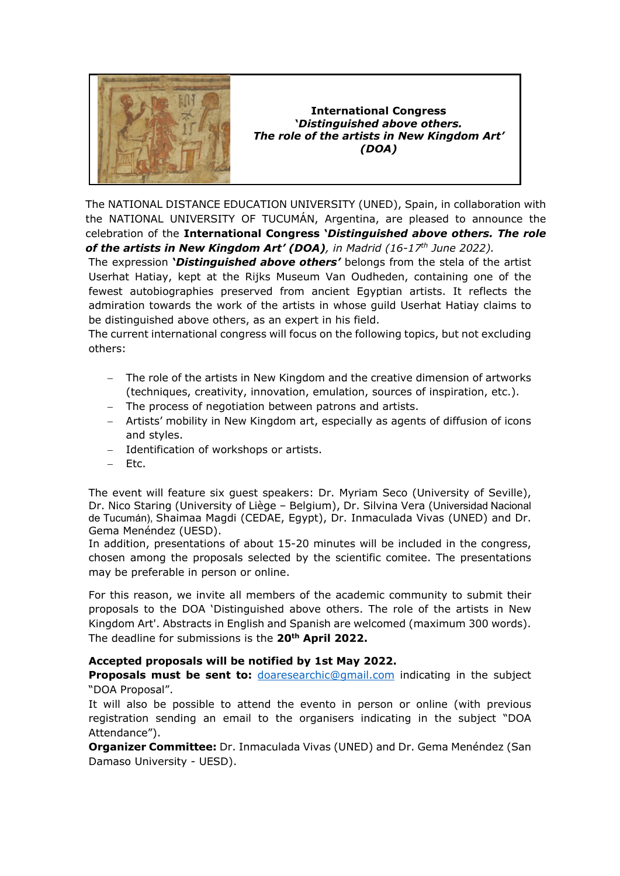

**International Congress '***Distinguished above others. The role of the artists in New Kingdom Art' (DOA)*

The NATIONAL DISTANCE EDUCATION UNIVERSITY (UNED), Spain, in collaboration with the NATIONAL UNIVERSITY OF TUCUMÁN, Argentina, are pleased to announce the celebration of the **International Congress '***Distinguished above others. The role of the artists in New Kingdom Art' (DOA), in Madrid (16-17th June 2022).* 

The expression **'***Distinguished above others'* belongs from the stela of the artist Userhat Hatiay, kept at the Rijks Museum Van Oudheden, containing one of the fewest autobiographies preserved from ancient Egyptian artists. It reflects the admiration towards the work of the artists in whose guild Userhat Hatiay claims to be distinguished above others, as an expert in his field.

The current international congress will focus on the following topics, but not excluding others:

- − The role of the artists in New Kingdom and the creative dimension of artworks (techniques, creativity, innovation, emulation, sources of inspiration, etc.).
- − The process of negotiation between patrons and artists.
- − Artists' mobility in New Kingdom art, especially as agents of diffusion of icons and styles.
- − Identification of workshops or artists.
- − Etc.

The event will feature six guest speakers: Dr. Myriam Seco (University of Seville), Dr. Nico Staring (University of Liège – Belgium), Dr. Silvina Vera (Universidad Nacional de Tucumán), Shaimaa Magdi (CEDAE, Egypt), Dr. Inmaculada Vivas (UNED) and Dr. Gema Menéndez (UESD).

In addition, presentations of about 15-20 minutes will be included in the congress, chosen among the proposals selected by the scientific comitee. The presentations may be preferable in person or online.

For this reason, we invite all members of the academic community to submit their proposals to the DOA 'Distinguished above others. The role of the artists in New Kingdom Art'. Abstracts in English and Spanish are welcomed (maximum 300 words). The deadline for submissions is the **20th April 2022.** 

## **Accepted proposals will be notified by 1st May 2022.**

**Proposals must be sent to:** *[doaresearchic@gmail.com](mailto:doaresearchic@gmail.com)* indicating in the subject "DOA Proposal".

It will also be possible to attend the evento in person or online (with previous registration sending an email to the organisers indicating in the subject "DOA Attendance").

**Organizer Committee:** Dr. Inmaculada Vivas (UNED) and Dr. Gema Menéndez (San Damaso University - UESD).